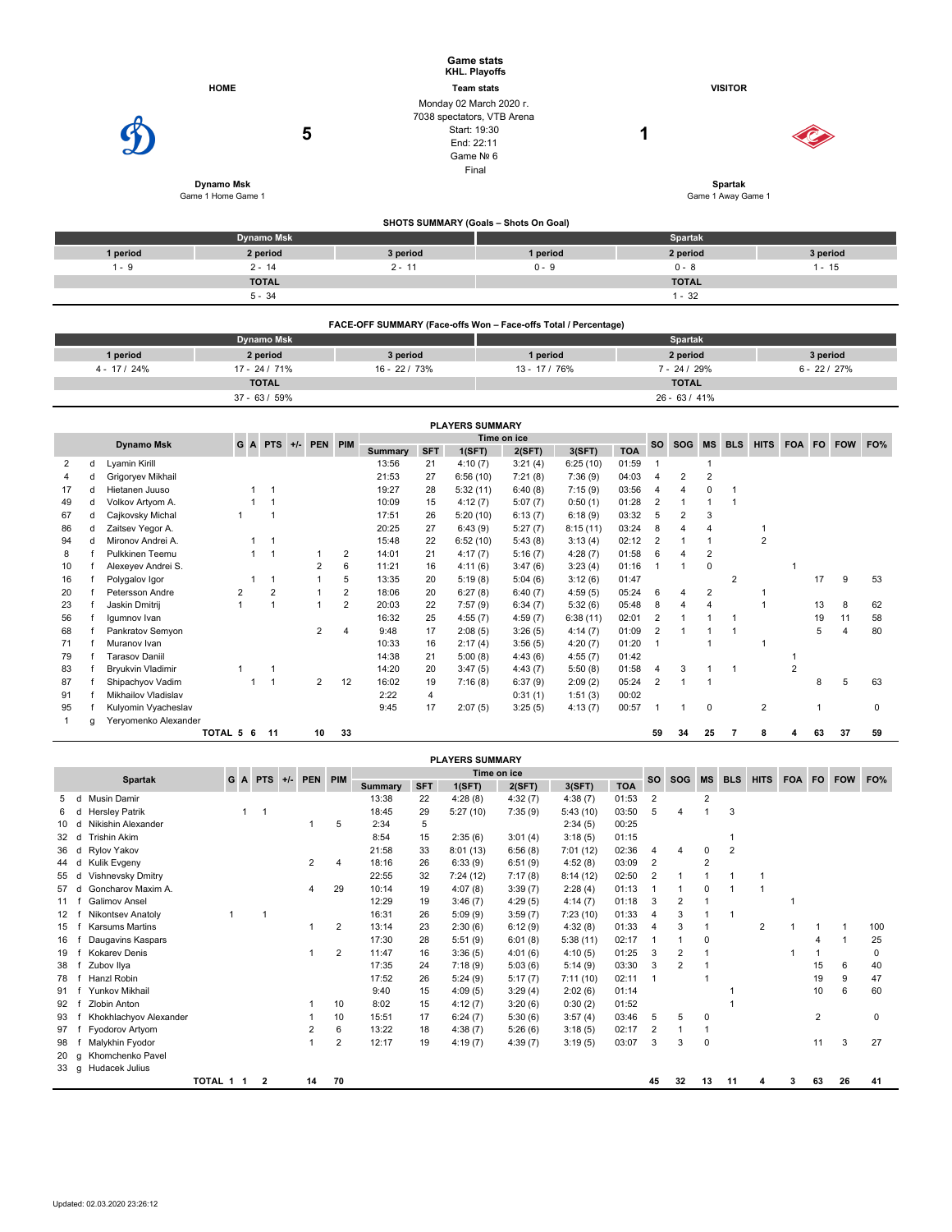|          |                                       | <b>Game stats</b><br>KHL. Playoffs                                                                        |                                       |                                    |          |
|----------|---------------------------------------|-----------------------------------------------------------------------------------------------------------|---------------------------------------|------------------------------------|----------|
|          | <b>HOME</b>                           | <b>Team stats</b>                                                                                         |                                       | <b>VISITOR</b>                     |          |
|          | 5<br>Dynamo Msk<br>Game 1 Home Game 1 | Monday 02 March 2020 r.<br>7038 spectators, VTB Arena<br>Start: 19:30<br>End: 22:11<br>Game Nº 6<br>Final |                                       | и<br>Spartak<br>Game 1 Away Game 1 |          |
|          |                                       |                                                                                                           | SHOTS SUMMARY (Goals - Shots On Goal) |                                    |          |
|          | <b>Dynamo Msk</b>                     |                                                                                                           |                                       | Spartak                            |          |
| 1 period | 2 period                              | 3 period                                                                                                  | 1 period                              | 2 period                           | 3 period |
| $1 - 9$  | $2 - 14$                              | $2 - 11$                                                                                                  | $0 - 9$                               | $0 - 8$                            | $1 - 15$ |
|          | <b>TOTAL</b>                          |                                                                                                           |                                       | <b>TOTAL</b>                       |          |

|              | FACE-OFF SUMMARY (Face-offs Won - Face-offs Total / Percentage) |                 |               |                 |                |  |  |  |  |  |  |  |
|--------------|-----------------------------------------------------------------|-----------------|---------------|-----------------|----------------|--|--|--|--|--|--|--|
|              | <b>Dynamo Msk</b>                                               |                 |               | <b>Spartak</b>  |                |  |  |  |  |  |  |  |
| 1 period     | 2 period                                                        | 3 period        | 1 period      | 2 period        | 3 period       |  |  |  |  |  |  |  |
| $4 - 17/24%$ | $17 - 24 / 71\%$                                                | $16 - 22 / 73%$ | $13 - 17/76%$ | $7 - 24 / 29%$  | $6 - 22 / 27%$ |  |  |  |  |  |  |  |
|              | <b>TOTAL</b>                                                    |                 |               | <b>TOTAL</b>    |                |  |  |  |  |  |  |  |
|              | $37 - 63 / 59%$                                                 |                 |               | $26 - 63 / 41%$ |                |  |  |  |  |  |  |  |

 $5 - 34$  1 - 32

|    |   |                       |           |                |                   |                |                |            | <b>PLAYERS SUMMARY</b> |             |          |            |                |            |                |                |                |   |    |            |     |
|----|---|-----------------------|-----------|----------------|-------------------|----------------|----------------|------------|------------------------|-------------|----------|------------|----------------|------------|----------------|----------------|----------------|---|----|------------|-----|
|    |   | Dynamo Msk            | G         |                | A PTS +/- PEN PIM |                |                |            |                        | Time on ice |          |            | <b>SO</b>      | SOG MS BLS |                |                | <b>HITS</b>    |   |    | FOA FO FOW | FO% |
|    |   |                       |           |                |                   |                | <b>Summary</b> | <b>SFT</b> | 1(SFT)                 | 2(SFT)      | 3(SFT)   | <b>TOA</b> |                |            |                |                |                |   |    |            |     |
| 2  | d | Lyamin Kirill         |           |                |                   |                | 13:56          | 21         | 4:10(7)                | 3:21(4)     | 6:25(10) | 01:59      |                |            |                |                |                |   |    |            |     |
|    |   | Grigoryev Mikhail     |           |                |                   |                | 21:53          | 27         | 6:56(10)               | 7:21(8)     | 7:36(9)  | 04:03      | $\overline{4}$ | 2          | $\overline{2}$ |                |                |   |    |            |     |
| 17 | d | Hietanen Juuso        |           |                |                   |                | 19:27          | 28         | 5:32(11)               | 6:40(8)     | 7:15(9)  | 03:56      | 4              | 4          | $\Omega$       |                |                |   |    |            |     |
| 49 |   | Volkov Artyom A.      |           |                |                   |                | 10:09          | 15         | 4:12(7)                | 5:07(7)     | 0:50(1)  | 01:28      | 2              |            |                |                |                |   |    |            |     |
| 67 | d | Cajkovsky Michal      |           |                |                   |                | 17:51          | 26         | 5:20(10)               | 6:13(7)     | 6:18(9)  | 03:32      | 5              | 2          | 3              |                |                |   |    |            |     |
| 86 | d | Zaitsev Yegor A.      |           |                |                   |                | 20:25          | 27         | 6:43(9)                | 5:27(7)     | 8:15(11) | 03:24      | 8              |            | 4              |                |                |   |    |            |     |
| 94 | d | Mironov Andrei A.     |           |                |                   |                | 15:48          | 22         | 6:52(10)               | 5:43(8)     | 3:13(4)  | 02:12      | 2              |            |                |                | $\overline{2}$ |   |    |            |     |
| 8  |   | Pulkkinen Teemu       |           |                |                   | 2              | 14:01          | 21         | 4:17(7)                | 5:16(7)     | 4:28(7)  | 01:58      | 6              |            | $\overline{2}$ |                |                |   |    |            |     |
| 10 |   | Alexeyev Andrei S.    |           |                |                   | 6              | 11:21          | 16         | 4:11(6)                | 3:47(6)     | 3:23(4)  | 01:16      |                |            | 0              |                |                |   |    |            |     |
| 16 |   | Polygalov Igor        |           |                |                   | 5              | 13:35          | 20         | 5:19(8)                | 5:04(6)     | 3:12(6)  | 01:47      |                |            |                | $\overline{2}$ |                |   | 17 | 9          | 53  |
| 20 |   | Petersson Andre       |           | $\overline{2}$ |                   | 2              | 18:06          | 20         | 6:27(8)                | 6:40(7)     | 4:59(5)  | 05:24      | 6              | 4          | 2              |                |                |   |    |            |     |
| 23 |   | Jaskin Dmitrii        |           |                |                   | $\overline{2}$ | 20:03          | 22         | 7:57(9)                | 6:34(7)     | 5:32(6)  | 05:48      | 8              |            |                |                |                |   | 13 | 8          | 62  |
| 56 |   | Igumnov Ivan          |           |                |                   |                | 16:32          | 25         | 4:55(7)                | 4:59(7)     | 6:38(11) | 02:01      | $\overline{2}$ |            |                |                |                |   | 19 | 11         | 58  |
| 68 |   | Pankratov Semyon      |           |                | 2                 |                | 9:48           | 17         | 2:08(5)                | 3:26(5)     | 4:14(7)  | 01:09      | $\overline{2}$ |            |                |                |                |   | 5  |            | 80  |
| 71 |   | Muranov Ivan          |           |                |                   |                | 10:33          | 16         | 2:17(4)                | 3:56(5)     | 4:20(7)  | 01:20      |                |            |                |                |                |   |    |            |     |
| 79 |   | <b>Tarasov Daniil</b> |           |                |                   |                | 14:38          | 21         | 5:00(8)                | 4:43(6)     | 4:55(7)  | 01:42      |                |            |                |                |                |   |    |            |     |
| 83 |   | Bryukvin Vladimir     |           |                |                   |                | 14:20          | 20         | 3:47(5)                | 4:43(7)     | 5:50(8)  | 01:58      | $\overline{4}$ | 3          |                |                |                | 2 |    |            |     |
| 87 |   | Shipachyov Vadim      |           |                | 2                 | 12             | 16:02          | 19         | 7:16(8)                | 6:37(9)     | 2:09(2)  | 05:24      | 2              |            |                |                |                |   | 8  | 5          | 63  |
| 91 |   | Mikhailov Vladislav   |           |                |                   |                | 2:22           | 4          |                        | 0:31(1)     | 1:51(3)  | 00:02      |                |            |                |                |                |   |    |            |     |
| 95 |   | Kulyomin Vyacheslav   |           |                |                   |                | 9:45           | 17         | 2:07(5)                | 3:25(5)     | 4:13(7)  | 00:57      |                |            | 0              |                | $\overline{2}$ |   |    |            | 0   |
|    | q | Yeryomenko Alexander  |           |                |                   |                |                |            |                        |             |          |            |                |            |                |                |                |   |    |            |     |
|    |   |                       | TOTAL 5 6 | 11             | 10                | 33             |                |            |                        |             |          |            | 59             | 34         | 25             |                | 8              |   | 63 | 37         | 59  |

|    | <b>PLAYERS SUMMARY</b> |                          |           |  |                         |       |         |                |         |            |          |             |          |            |                |                |                |                |                |            |           |            |     |
|----|------------------------|--------------------------|-----------|--|-------------------------|-------|---------|----------------|---------|------------|----------|-------------|----------|------------|----------------|----------------|----------------|----------------|----------------|------------|-----------|------------|-----|
|    |                        |                          |           |  | G A PTS                 | $+/-$ | PEN PIM |                |         |            |          | Time on ice |          |            | <b>SO</b>      | <b>SOG</b>     | <b>MS</b>      | <b>BLS</b>     | <b>HITS</b>    | <b>FOA</b> | <b>FO</b> | <b>FOW</b> | FO% |
|    |                        | <b>Spartak</b>           |           |  |                         |       |         |                | Summary | <b>SFT</b> | 1(SFT)   | 2(SFT)      | 3(SFT)   | <b>TOA</b> |                |                |                |                |                |            |           |            |     |
| 5  | d                      | Musin Damir              |           |  |                         |       |         |                | 13:38   | 22         | 4:28(8)  | 4:32(7)     | 4:38(7)  | 01:53      | $\overline{2}$ |                | 2              |                |                |            |           |            |     |
| 6  | d                      | <b>Hersley Patrik</b>    |           |  | $\overline{1}$          |       |         |                | 18:45   | 29         | 5:27(10) | 7:35(9)     | 5:43(10) | 03:50      | 5              | 4              |                | 3              |                |            |           |            |     |
| 10 | d                      | Nikishin Alexander       |           |  |                         |       |         | 5              | 2:34    | 5          |          |             | 2:34(5)  | 00:25      |                |                |                |                |                |            |           |            |     |
| 32 | d                      | <b>Trishin Akim</b>      |           |  |                         |       |         |                | 8:54    | 15         | 2:35(6)  | 3:01(4)     | 3:18(5)  | 01:15      |                |                |                |                |                |            |           |            |     |
| 36 | d                      | Rylov Yakov              |           |  |                         |       |         |                | 21:58   | 33         | 8:01(13) | 6:56(8)     | 7:01(12) | 02:36      | $\overline{4}$ | 4              | $\mathbf 0$    | $\overline{2}$ |                |            |           |            |     |
| 44 | d                      | Kulik Evgeny             |           |  |                         |       | 2       | 4              | 18:16   | 26         | 6:33(9)  | 6:51(9)     | 4:52(8)  | 03:09      | 2              |                | $\overline{2}$ |                |                |            |           |            |     |
| 55 | d                      | Vishnevsky Dmitry        |           |  |                         |       |         |                | 22:55   | 32         | 7:24(12) | 7:17(8)     | 8:14(12) | 02:50      | $\overline{2}$ |                |                |                |                |            |           |            |     |
| 57 | d                      | Goncharov Maxim A.       |           |  |                         |       | 4       | 29             | 10:14   | 19         | 4:07(8)  | 3:39(7)     | 2:28(4)  | 01:13      |                |                | $\Omega$       |                |                |            |           |            |     |
| 11 |                        | <b>Galimov Ansel</b>     |           |  |                         |       |         |                | 12:29   | 19         | 3:46(7)  | 4:29(5)     | 4:14(7)  | 01:18      | 3              | $\overline{2}$ |                |                |                |            |           |            |     |
| 12 |                        | <b>Nikontsev Anatoly</b> |           |  | -1                      |       |         |                | 16:31   | 26         | 5:09(9)  | 3:59(7)     | 7:23(10) | 01:33      | 4              |                |                |                |                |            |           |            |     |
| 15 |                        | <b>Karsums Martins</b>   |           |  |                         |       |         | 2              | 13:14   | 23         | 2:30(6)  | 6:12(9)     | 4:32(8)  | 01:33      | $\overline{4}$ | 3              |                |                | $\overline{2}$ |            |           |            | 100 |
| 16 |                        | Daugavins Kaspars        |           |  |                         |       |         |                | 17:30   | 28         | 5:51(9)  | 6:01(8)     | 5:38(11) | 02:17      |                |                | 0              |                |                |            | 4         |            | 25  |
| 19 |                        | <b>Kokarev Denis</b>     |           |  |                         |       |         | $\overline{2}$ | 11:47   | 16         | 3:36(5)  | 4:01(6)     | 4:10(5)  | 01:25      | 3              | 2              |                |                |                |            | -1        |            | 0   |
| 38 |                        | Zubov Ilya               |           |  |                         |       |         |                | 17:35   | 24         | 7:18(9)  | 5:03(6)     | 5:14(9)  | 03:30      | 3              | 2              |                |                |                |            | 15        | 6          | 40  |
| 78 |                        | Hanzl Robin              |           |  |                         |       |         |                | 17:52   | 26         | 5:24(9)  | 5:17(7)     | 7:11(10) | 02:11      |                |                |                |                |                |            | 19        | 9          | 47  |
| 91 |                        | Yunkov Mikhail           |           |  |                         |       |         |                | 9:40    | 15         | 4:09(5)  | 3:29(4)     | 2:02(6)  | 01:14      |                |                |                |                |                |            | 10        | 6          | 60  |
| 92 |                        | Zlobin Anton             |           |  |                         |       |         | 10             | 8:02    | 15         | 4:12(7)  | 3:20(6)     | 0:30(2)  | 01:52      |                |                |                |                |                |            |           |            |     |
| 93 |                        | Khokhlachyov Alexander   |           |  |                         |       |         | 10             | 15:51   | 17         | 6:24(7)  | 5:30(6)     | 3:57(4)  | 03:46      | 5              | 5              | 0              |                |                |            | 2         |            | 0   |
| 97 |                        | Fyodorov Artyom          |           |  |                         |       | 2       | 6              | 13:22   | 18         | 4:38(7)  | 5:26(6)     | 3:18(5)  | 02:17      | $\overline{2}$ |                |                |                |                |            |           |            |     |
| 98 |                        | Malykhin Fyodor          |           |  |                         |       |         | 2              | 12:17   | 19         | 4:19(7)  | 4:39(7)     | 3:19(5)  | 03:07      | 3              | 3              | $\overline{0}$ |                |                |            | 11        | 3          | 27  |
| 20 | g                      | Khomchenko Pavel         |           |  |                         |       |         |                |         |            |          |             |          |            |                |                |                |                |                |            |           |            |     |
| 33 | g                      | Hudacek Julius           |           |  |                         |       |         |                |         |            |          |             |          |            |                |                |                |                |                |            |           |            |     |
|    |                        |                          | TOTAL 1 1 |  | $\overline{\mathbf{2}}$ |       | 14      | 70             |         |            |          |             |          |            | 45             | 32             | 13             | 11             |                | з.         | 63        | 26         | 41  |